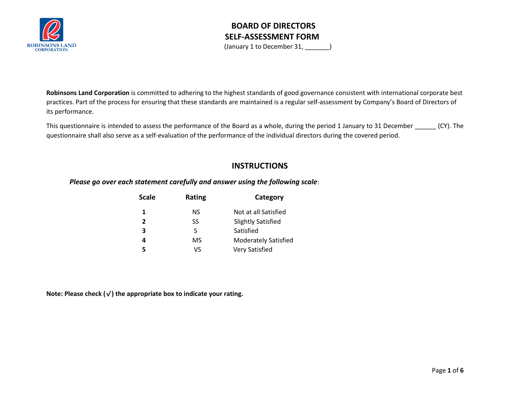

(January 1 to December 31, \_\_\_\_\_\_\_)

**Robinsons Land Corporation** is committed to adhering to the highest standards of good governance consistent with international corporate best practices. Part of the process for ensuring that these standards are maintained is a regular self-assessment by Company's Board of Directors of its performance.

This questionnaire is intended to assess the performance of the Board as a whole, during the period 1 January to 31 December (CY). The questionnaire shall also serve as a self-evaluation of the performance of the individual directors during the covered period.

#### **INSTRUCTIONS**

*Please go over each statement carefully and answer using the following scale*:

| Scale          | Rating | Category                    |
|----------------|--------|-----------------------------|
| 1.             | NS.    | Not at all Satisfied        |
| $\overline{2}$ | SS     | <b>Slightly Satisfied</b>   |
| 3              | S      | Satisfied                   |
| 4              | MS     | <b>Moderately Satisfied</b> |
|                | ٧S     | <b>Very Satisfied</b>       |
|                |        |                             |

**Note: Please check (**√**) the appropriate box to indicate your rating.**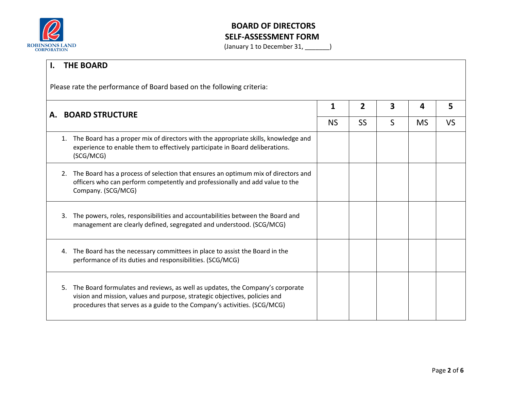

|                                                                       | <b>THE BOARD</b> |                                                                                                                                                                                                                                         |                |           |   |           |           |
|-----------------------------------------------------------------------|------------------|-----------------------------------------------------------------------------------------------------------------------------------------------------------------------------------------------------------------------------------------|----------------|-----------|---|-----------|-----------|
| Please rate the performance of Board based on the following criteria: |                  |                                                                                                                                                                                                                                         |                |           |   |           |           |
| A. BOARD STRUCTURE                                                    |                  | 1                                                                                                                                                                                                                                       | $\overline{2}$ | 3         | 4 | 5         |           |
|                                                                       |                  |                                                                                                                                                                                                                                         | <b>NS</b>      | <b>SS</b> | S | <b>MS</b> | <b>VS</b> |
|                                                                       | 1.               | The Board has a proper mix of directors with the appropriate skills, knowledge and<br>experience to enable them to effectively participate in Board deliberations.<br>(SCG/MCG)                                                         |                |           |   |           |           |
|                                                                       | 2.               | The Board has a process of selection that ensures an optimum mix of directors and<br>officers who can perform competently and professionally and add value to the<br>Company. (SCG/MCG)                                                 |                |           |   |           |           |
|                                                                       | 3.               | The powers, roles, responsibilities and accountabilities between the Board and<br>management are clearly defined, segregated and understood. (SCG/MCG)                                                                                  |                |           |   |           |           |
|                                                                       |                  | 4. The Board has the necessary committees in place to assist the Board in the<br>performance of its duties and responsibilities. (SCG/MCG)                                                                                              |                |           |   |           |           |
|                                                                       | 5.               | The Board formulates and reviews, as well as updates, the Company's corporate<br>vision and mission, values and purpose, strategic objectives, policies and<br>procedures that serves as a guide to the Company's activities. (SCG/MCG) |                |           |   |           |           |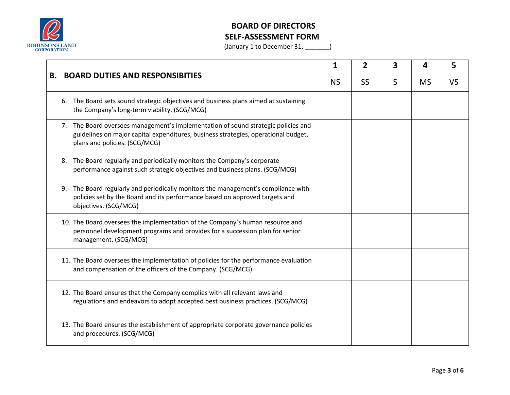

| <b>BOARD DUTIES AND RESPONSIBITIES</b><br>В. |    |                                                                                                                                                                                                          | 2         | 3 | Δ         | 5         |  |
|----------------------------------------------|----|----------------------------------------------------------------------------------------------------------------------------------------------------------------------------------------------------------|-----------|---|-----------|-----------|--|
|                                              |    | <b>NS</b>                                                                                                                                                                                                | <b>SS</b> | S | <b>MS</b> | <b>VS</b> |  |
|                                              | 6. | The Board sets sound strategic objectives and business plans aimed at sustaining<br>the Company's long-term viability. (SCG/MCG)                                                                         |           |   |           |           |  |
|                                              |    | 7. The Board oversees management's implementation of sound strategic policies and<br>guidelines on major capital expenditures, business strategies, operational budget,<br>plans and policies. (SCG/MCG) |           |   |           |           |  |
|                                              |    | 8. The Board regularly and periodically monitors the Company's corporate<br>performance against such strategic objectives and business plans. (SCG/MCG)                                                  |           |   |           |           |  |
|                                              |    | 9. The Board regularly and periodically monitors the management's compliance with<br>policies set by the Board and its performance based on approved targets and<br>objectives. (SCG/MCG)                |           |   |           |           |  |
|                                              |    | 10. The Board oversees the implementation of the Company's human resource and<br>personnel development programs and provides for a succession plan for senior<br>management. (SCG/MCG)                   |           |   |           |           |  |
|                                              |    | 11. The Board oversees the implementation of policies for the performance evaluation<br>and compensation of the officers of the Company. (SCG/MCG)                                                       |           |   |           |           |  |
|                                              |    | 12. The Board ensures that the Company complies with all relevant laws and<br>regulations and endeavors to adopt accepted best business practices. (SCG/MCG)                                             |           |   |           |           |  |
|                                              |    | 13. The Board ensures the establishment of appropriate corporate governance policies<br>and procedures. (SCG/MCG)                                                                                        |           |   |           |           |  |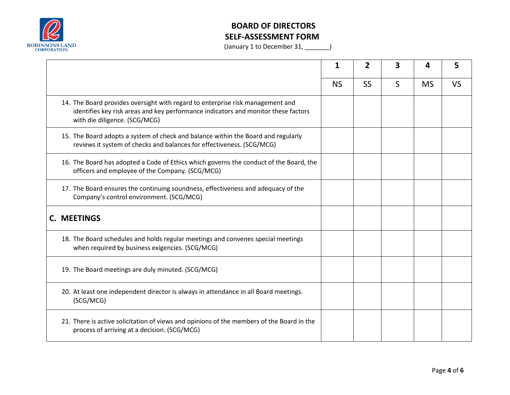

|                                                                                                                                                                                                       |           | 2         | 3 | Δ         |           |
|-------------------------------------------------------------------------------------------------------------------------------------------------------------------------------------------------------|-----------|-----------|---|-----------|-----------|
|                                                                                                                                                                                                       | <b>NS</b> | <b>SS</b> | S | <b>MS</b> | <b>VS</b> |
| 14. The Board provides oversight with regard to enterprise risk management and<br>identifies key risk areas and key performance indicators and monitor these factors<br>with die diligence. (SCG/MCG) |           |           |   |           |           |
| 15. The Board adopts a system of check and balance within the Board and regularly<br>reviews it system of checks and balances for effectiveness. (SCG/MCG)                                            |           |           |   |           |           |
| 16. The Board has adopted a Code of Ethics which governs the conduct of the Board, the<br>officers and employee of the Company. (SCG/MCG)                                                             |           |           |   |           |           |
| 17. The Board ensures the continuing soundness, effectiveness and adequacy of the<br>Company's control environment. (SCG/MCG)                                                                         |           |           |   |           |           |
| C. MEETINGS                                                                                                                                                                                           |           |           |   |           |           |
| 18. The Board schedules and holds regular meetings and convenes special meetings<br>when required by business exigencies. (SCG/MCG)                                                                   |           |           |   |           |           |
| 19. The Board meetings are duly minuted. (SCG/MCG)                                                                                                                                                    |           |           |   |           |           |
| 20. At least one independent director is always in attendance in all Board meetings.<br>(SCG/MCG)                                                                                                     |           |           |   |           |           |
| 21. There is active solicitation of views and opinions of the members of the Board in the<br>process of arriving at a decision. (SCG/MCG)                                                             |           |           |   |           |           |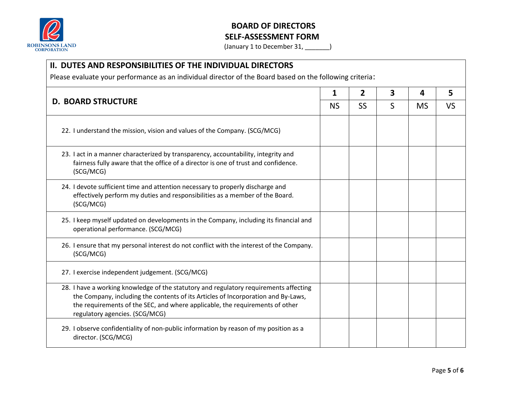

| <b>II. DUTES AND RESPONSIBILITIES OF THE INDIVIDUAL DIRECTORS</b><br>Please evaluate your performance as an individual director of the Board based on the following criteria:                                                                                                                |   |           |           |  |  |  |
|----------------------------------------------------------------------------------------------------------------------------------------------------------------------------------------------------------------------------------------------------------------------------------------------|---|-----------|-----------|--|--|--|
|                                                                                                                                                                                                                                                                                              |   |           |           |  |  |  |
| <b>SS</b>                                                                                                                                                                                                                                                                                    | S | <b>MS</b> | <b>VS</b> |  |  |  |
| 22. I understand the mission, vision and values of the Company. (SCG/MCG)                                                                                                                                                                                                                    |   |           |           |  |  |  |
| 23. I act in a manner characterized by transparency, accountability, integrity and<br>fairness fully aware that the office of a director is one of trust and confidence.<br>(SCG/MCG)                                                                                                        |   |           |           |  |  |  |
| 24. I devote sufficient time and attention necessary to properly discharge and<br>effectively perform my duties and responsibilities as a member of the Board.<br>(SCG/MCG)                                                                                                                  |   |           |           |  |  |  |
| 25. I keep myself updated on developments in the Company, including its financial and<br>operational performance. (SCG/MCG)                                                                                                                                                                  |   |           |           |  |  |  |
| 26. I ensure that my personal interest do not conflict with the interest of the Company.<br>(SCG/MCG)                                                                                                                                                                                        |   |           |           |  |  |  |
| 27. I exercise independent judgement. (SCG/MCG)                                                                                                                                                                                                                                              |   |           |           |  |  |  |
| 28. I have a working knowledge of the statutory and regulatory requirements affecting<br>the Company, including the contents of its Articles of Incorporation and By-Laws,<br>the requirements of the SEC, and where applicable, the requirements of other<br>regulatory agencies. (SCG/MCG) |   |           |           |  |  |  |
| 29. I observe confidentiality of non-public information by reason of my position as a<br>director. (SCG/MCG)                                                                                                                                                                                 |   |           |           |  |  |  |